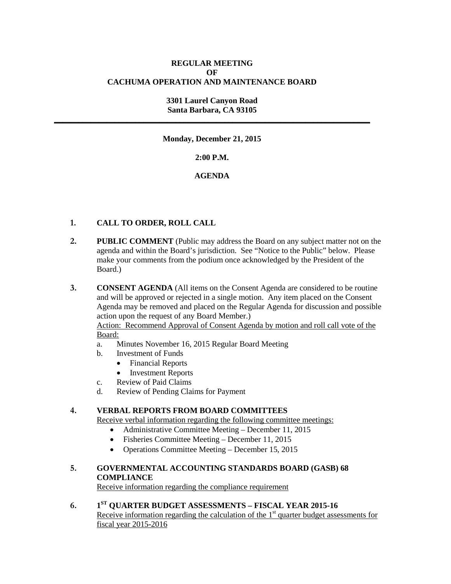# **REGULAR MEETING OF CACHUMA OPERATION AND MAINTENANCE BOARD**

#### **3301 Laurel Canyon Road Santa Barbara, CA 93105 \_\_\_\_\_\_\_\_\_\_\_\_\_\_\_\_\_\_\_\_\_\_\_\_\_\_\_\_\_\_\_\_\_\_\_\_\_\_\_\_\_\_\_\_\_\_\_\_\_\_\_\_\_\_\_\_\_\_\_\_\_\_\_\_\_\_\_\_\_\_\_\_\_\_\_\_\_\_**

**Monday, December 21, 2015**

**2:00 P.M.**

# **AGENDA**

# **1. CALL TO ORDER, ROLL CALL**

- **2. PUBLIC COMMENT** (Public may address the Board on any subject matter not on the agenda and within the Board's jurisdiction. See "Notice to the Public" below. Please make your comments from the podium once acknowledged by the President of the Board.)
- **3. CONSENT AGENDA** (All items on the Consent Agenda are considered to be routine and will be approved or rejected in a single motion. Any item placed on the Consent Agenda may be removed and placed on the Regular Agenda for discussion and possible action upon the request of any Board Member.)

Action: Recommend Approval of Consent Agenda by motion and roll call vote of the Board:

- a. Minutes November 16, 2015 Regular Board Meeting
- b. Investment of Funds
	- Financial Reports
	- Investment Reports
- c. Review of Paid Claims
- d. Review of Pending Claims for Payment

# **4. VERBAL REPORTS FROM BOARD COMMITTEES**

Receive verbal information regarding the following committee meetings:

- Administrative Committee Meeting December 11, 2015
- Fisheries Committee Meeting December 11, 2015
- Operations Committee Meeting December 15, 2015

# **5. GOVERNMENTAL ACCOUNTING STANDARDS BOARD (GASB) 68 COMPLIANCE**

Receive information regarding the compliance requirement

**6. 1ST QUARTER BUDGET ASSESSMENTS – FISCAL YEAR 2015-16** Receive information regarding the calculation of the  $1<sup>st</sup>$  quarter budget assessments for fiscal year 2015-2016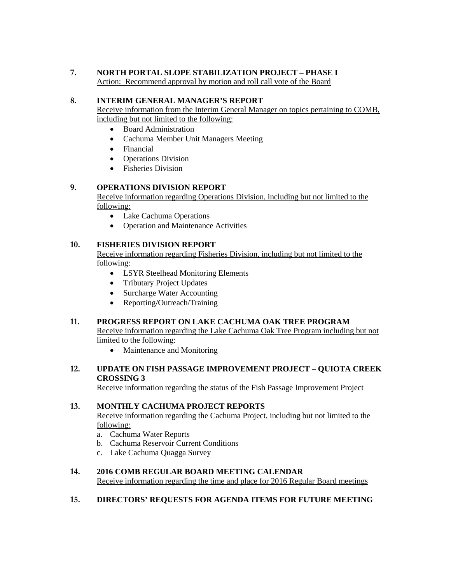# **7. NORTH PORTAL SLOPE STABILIZATION PROJECT – PHASE I**

Action: Recommend approval by motion and roll call vote of the Board

#### **8. INTERIM GENERAL MANAGER'S REPORT**

Receive information from the Interim General Manager on topics pertaining to COMB, including but not limited to the following:

- Board Administration
- Cachuma Member Unit Managers Meeting
- Financial
- Operations Division
- Fisheries Division

# **9. OPERATIONS DIVISION REPORT**

Receive information regarding Operations Division, including but not limited to the following:

- Lake Cachuma Operations
- Operation and Maintenance Activities

# **10. FISHERIES DIVISION REPORT**

Receive information regarding Fisheries Division, including but not limited to the following:

- LSYR Steelhead Monitoring Elements
- Tributary Project Updates
- Surcharge Water Accounting
- Reporting/Outreach/Training

#### **11. PROGRESS REPORT ON LAKE CACHUMA OAK TREE PROGRAM**

Receive information regarding the Lake Cachuma Oak Tree Program including but not limited to the following:

• Maintenance and Monitoring

#### **12. UPDATE ON FISH PASSAGE IMPROVEMENT PROJECT – QUIOTA CREEK CROSSING 3**

Receive information regarding the status of the Fish Passage Improvement Project

#### **13. MONTHLY CACHUMA PROJECT REPORTS**

Receive information regarding the Cachuma Project, including but not limited to the following:

- a. Cachuma Water Reports
- b. Cachuma Reservoir Current Conditions
- c. Lake Cachuma Quagga Survey

# **14. 2016 COMB REGULAR BOARD MEETING CALENDAR**

Receive information regarding the time and place for 2016 Regular Board meetings

#### **15. DIRECTORS' REQUESTS FOR AGENDA ITEMS FOR FUTURE MEETING**